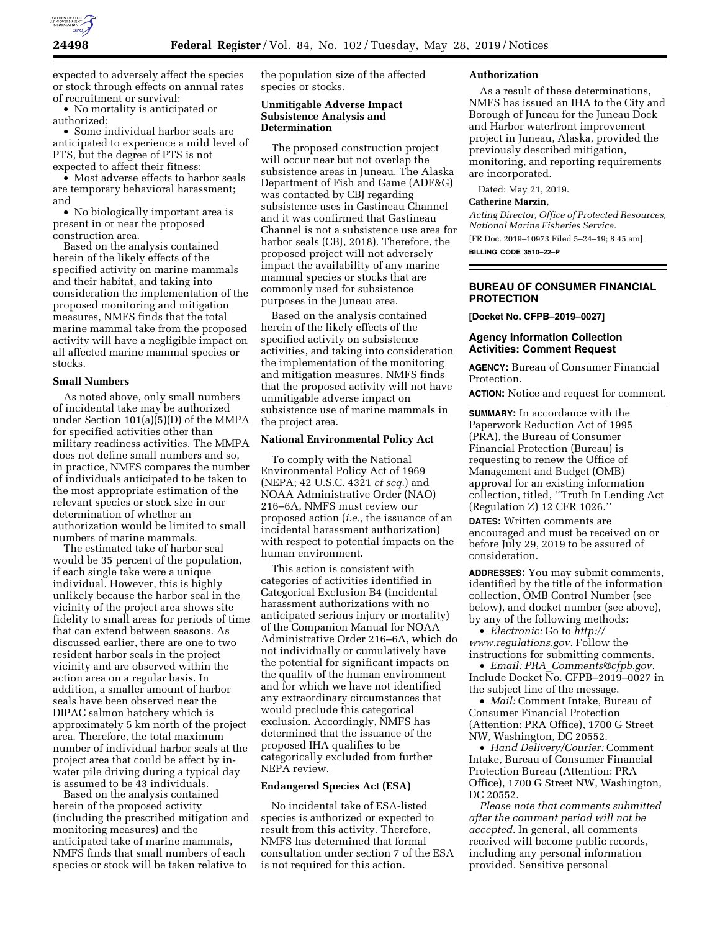

expected to adversely affect the species or stock through effects on annual rates of recruitment or survival:

• No mortality is anticipated or authorized;

• Some individual harbor seals are anticipated to experience a mild level of PTS, but the degree of PTS is not expected to affect their fitness;

• Most adverse effects to harbor seals are temporary behavioral harassment; and

• No biologically important area is present in or near the proposed construction area.

Based on the analysis contained herein of the likely effects of the specified activity on marine mammals and their habitat, and taking into consideration the implementation of the proposed monitoring and mitigation measures, NMFS finds that the total marine mammal take from the proposed activity will have a negligible impact on all affected marine mammal species or stocks.

#### **Small Numbers**

As noted above, only small numbers of incidental take may be authorized under Section 101(a)(5)(D) of the MMPA for specified activities other than military readiness activities. The MMPA does not define small numbers and so, in practice, NMFS compares the number of individuals anticipated to be taken to the most appropriate estimation of the relevant species or stock size in our determination of whether an authorization would be limited to small numbers of marine mammals.

The estimated take of harbor seal would be 35 percent of the population, if each single take were a unique individual. However, this is highly unlikely because the harbor seal in the vicinity of the project area shows site fidelity to small areas for periods of time that can extend between seasons. As discussed earlier, there are one to two resident harbor seals in the project vicinity and are observed within the action area on a regular basis. In addition, a smaller amount of harbor seals have been observed near the DIPAC salmon hatchery which is approximately 5 km north of the project area. Therefore, the total maximum number of individual harbor seals at the project area that could be affect by inwater pile driving during a typical day is assumed to be 43 individuals.

Based on the analysis contained herein of the proposed activity (including the prescribed mitigation and monitoring measures) and the anticipated take of marine mammals, NMFS finds that small numbers of each species or stock will be taken relative to

the population size of the affected species or stocks.

## **Unmitigable Adverse Impact Subsistence Analysis and Determination**

The proposed construction project will occur near but not overlap the subsistence areas in Juneau. The Alaska Department of Fish and Game (ADF&G) was contacted by CBJ regarding subsistence uses in Gastineau Channel and it was confirmed that Gastineau Channel is not a subsistence use area for harbor seals (CBJ, 2018). Therefore, the proposed project will not adversely impact the availability of any marine mammal species or stocks that are commonly used for subsistence purposes in the Juneau area.

Based on the analysis contained herein of the likely effects of the specified activity on subsistence activities, and taking into consideration the implementation of the monitoring and mitigation measures, NMFS finds that the proposed activity will not have unmitigable adverse impact on subsistence use of marine mammals in the project area.

### **National Environmental Policy Act**

To comply with the National Environmental Policy Act of 1969 (NEPA; 42 U.S.C. 4321 *et seq.*) and NOAA Administrative Order (NAO) 216–6A, NMFS must review our proposed action (*i.e.,* the issuance of an incidental harassment authorization) with respect to potential impacts on the human environment.

This action is consistent with categories of activities identified in Categorical Exclusion B4 (incidental harassment authorizations with no anticipated serious injury or mortality) of the Companion Manual for NOAA Administrative Order 216–6A, which do not individually or cumulatively have the potential for significant impacts on the quality of the human environment and for which we have not identified any extraordinary circumstances that would preclude this categorical exclusion. Accordingly, NMFS has determined that the issuance of the proposed IHA qualifies to be categorically excluded from further NEPA review.

### **Endangered Species Act (ESA)**

No incidental take of ESA-listed species is authorized or expected to result from this activity. Therefore, NMFS has determined that formal consultation under section 7 of the ESA is not required for this action.

### **Authorization**

As a result of these determinations, NMFS has issued an IHA to the City and Borough of Juneau for the Juneau Dock and Harbor waterfront improvement project in Juneau, Alaska, provided the previously described mitigation, monitoring, and reporting requirements are incorporated.

Dated: May 21, 2019.

#### **Catherine Marzin,**

*Acting Director, Office of Protected Resources, National Marine Fisheries Service.*  [FR Doc. 2019–10973 Filed 5–24–19; 8:45 am]

**BILLING CODE 3510–22–P** 

## **BUREAU OF CONSUMER FINANCIAL PROTECTION**

**[Docket No. CFPB–2019–0027]** 

## **Agency Information Collection Activities: Comment Request**

**AGENCY:** Bureau of Consumer Financial Protection.

**ACTION:** Notice and request for comment.

**SUMMARY:** In accordance with the Paperwork Reduction Act of 1995 (PRA), the Bureau of Consumer Financial Protection (Bureau) is requesting to renew the Office of Management and Budget (OMB) approval for an existing information collection, titled, ''Truth In Lending Act (Regulation Z) 12 CFR 1026.''

**DATES:** Written comments are encouraged and must be received on or before July 29, 2019 to be assured of consideration.

**ADDRESSES:** You may submit comments, identified by the title of the information collection, OMB Control Number (see below), and docket number (see above), by any of the following methods:

• *Electronic:* Go to *[http://](http://www.regulations.gov) [www.regulations.gov.](http://www.regulations.gov)* Follow the instructions for submitting comments.

• *Email: PRA*\_*[Comments@cfpb.gov.](mailto:PRA_Comments@cfpb.gov)*  Include Docket No. CFPB–2019–0027 in the subject line of the message.

• *Mail:* Comment Intake, Bureau of Consumer Financial Protection (Attention: PRA Office), 1700 G Street NW, Washington, DC 20552.

• *Hand Delivery/Courier:* Comment Intake, Bureau of Consumer Financial Protection Bureau (Attention: PRA Office), 1700 G Street NW, Washington, DC 20552.

*Please note that comments submitted after the comment period will not be accepted.* In general, all comments received will become public records, including any personal information provided. Sensitive personal